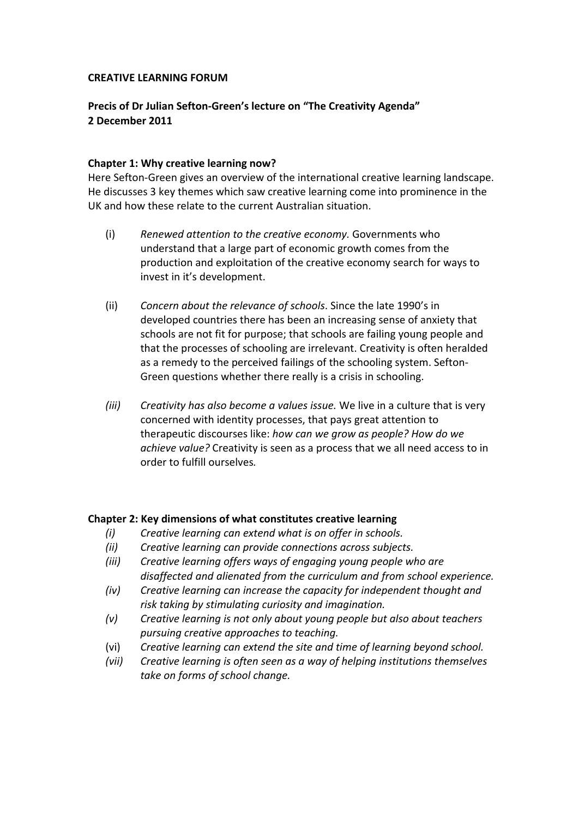#### **CREATIVE LEARNING FORUM**

# **Precis of Dr Julian Sefton‐Green's lecture on "The Creativity Agenda" 2 December 2011**

### **Chapter 1: Why creative learning now?**

Here Sefton‐Green gives an overview of the international creative learning landscape. He discusses 3 key themes which saw creative learning come into prominence in the UK and how these relate to the current Australian situation.

- (i) *Renewed attention to the creative economy.* Governments who understand that a large part of economic growth comes from the production and exploitation of the creative economy search for ways to invest in it's development.
- (ii) *Concern about the relevance of schools*. Since the late 1990's in developed countries there has been an increasing sense of anxiety that schools are not fit for purpose; that schools are failing young people and that the processes of schooling are irrelevant. Creativity is often heralded as a remedy to the perceived failings of the schooling system. Sefton‐ Green questions whether there really is a crisis in schooling.
- *(iii) Creativity has also become a values issue.* We live in a culture that is very concerned with identity processes, that pays great attention to therapeutic discourses like: *how can we grow as people? How do we achieve value?* Creativity is seen as a process that we all need access to in order to fulfill ourselves*.*

#### **Chapter 2: Key dimensions of what constitutes creative learning**

- *(i) Creative learning can extend what is on offer in schools.*
- *(ii) Creative learning can provide connections across subjects.*
- *(iii) Creative learning offers ways of engaging young people who are disaffected and alienated from the curriculum and from school experience.*
- *(iv) Creative learning can increase the capacity for independent thought and risk taking by stimulating curiosity and imagination.*
- *(v) Creative learning is not only about young people but also about teachers pursuing creative approaches to teaching.*
- (vi) *Creative learning can extend the site and time of learning beyond school.*
- *(vii) Creative learning is often seen as a way of helping institutions themselves take on forms of school change.*